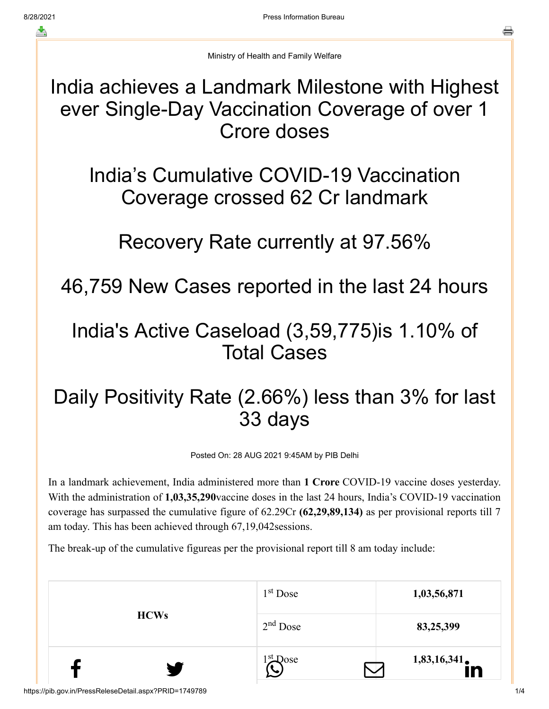Ministry of Health and Family Welfare

India achieves a Landmark Milestone with Highest ever Single-Day Vaccination Coverage of over 1 Crore doses

India's Cumulative COVID-19 Vaccination Coverage crossed 62 Cr landmark

Recovery Rate currently at 97.56%

46,759 New Cases reported in the last 24 hours

## India's Active Caseload (3,59,775)is 1.10% of Total Cases

## Daily Positivity Rate (2.66%) less than 3% for last 33 days

Posted On: 28 AUG 2021 9:45AM by PIB Delhi

In a landmark achievement, India administered more than **1 Crore** COVID-19 vaccine doses yesterday. With the administration of **1,03,35,290**vaccine doses in the last 24 hours, India's COVID-19 vaccination coverage has surpassed the cumulative figure of 62.29Cr **(62,29,89,134)** as per provisional reports till 7 am today. This has been achieved through 67,19,042sessions.

The break-up of the cumulative figureas per the provisional report till 8 am today include:

|             |                       | $1st$ Dose | 1,03,56,871 |
|-------------|-----------------------|------------|-------------|
| <b>HCWs</b> |                       | $2nd$ Dose | 83,25,399   |
|             | $\blacktriangleright$ | $1st$ Dose | 1,83,16,341 |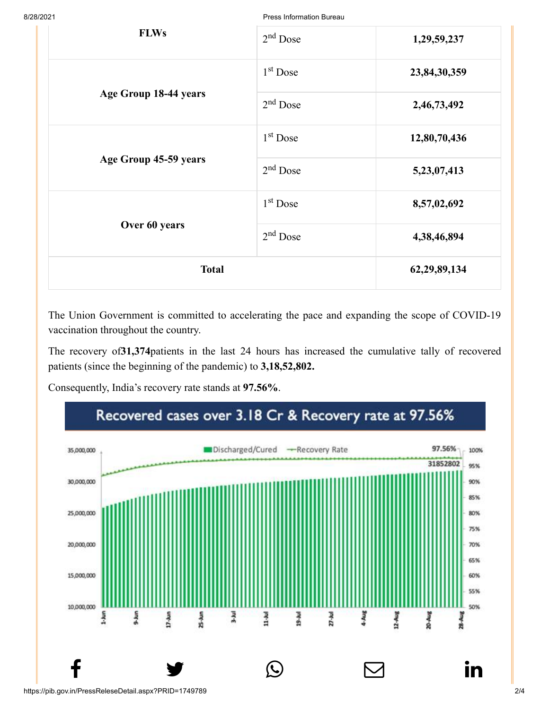8/28/2021 Press Information Bureau

| <b>FLWs</b>           | $2nd$ Dose | 1,29,59,237  |
|-----------------------|------------|--------------|
|                       | $1st$ Dose | 23,84,30,359 |
| Age Group 18-44 years | $2nd$ Dose | 2,46,73,492  |
|                       | $1st$ Dose | 12,80,70,436 |
| Age Group 45-59 years | $2nd$ Dose | 5,23,07,413  |
|                       | $1st$ Dose | 8,57,02,692  |
| Over 60 years         | $2nd$ Dose | 4,38,46,894  |
| <b>Total</b>          |            | 62,29,89,134 |

The Union Government is committed to accelerating the pace and expanding the scope of COVID-19 vaccination throughout the country.

The recovery of**31,374**patients in the last 24 hours has increased the cumulative tally of recovered patients (since the beginning of the pandemic) to **3,18,52,802.**

Consequently, India's recovery rate stands at **97.56%**.

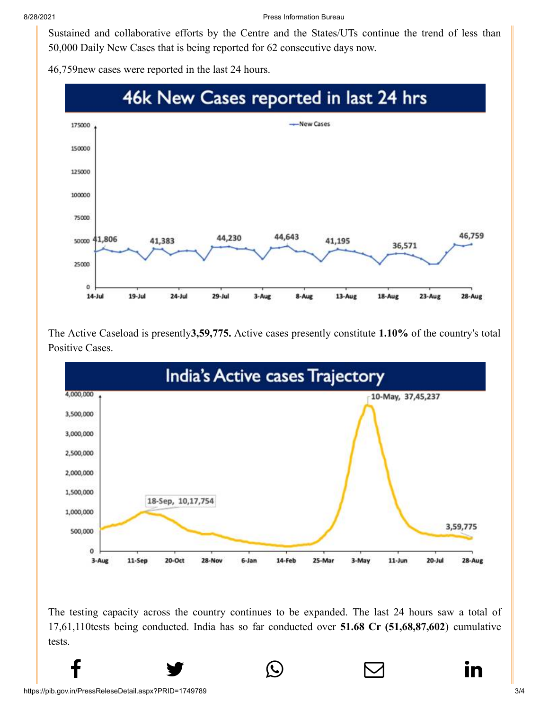8/28/2021 Press Information Bureau

[Sustained and co](http://www.facebook.com/share.php?u=https://pib.gov.in/PressReleasePage.aspx?PRID=1749789)[llaborative efforts by t](https://twitter.com/intent/tweet?url=https://pib.gov.in/PressReleasePage.aspx?PRID=1749789&text=India%20achieves%20a%20Landmark%20Milestone%20with%20Highest%20ever%20Single-Day%20Vaccination%20Coverage%20of%20over%201%20Crore%20doses)[he Centre and the Sta](https://api.whatsapp.com/send?text=https://pib.gov.in/PressReleasePage.aspx?PRID=1749789)[tes/UTs continue the t](https://mail.google.com/mail/?view=cm&fs=1&tf=1&to=&su=India%20achieves%20a%20Landmark%20Milestone%20with%20Highest%20ever%20Single-Day%20Vaccination%20Coverage%20of%20over%201%20Crore%20doses&body=https://pib.gov.in/PressReleasePage.aspx?PRID=1749789&ui=2&tf=1&pli=1)[rend of less than](https://www.linkedin.com/shareArticle?mini=true&url=https://pib.gov.in/PressReleasePage.aspx?PRID=1749789&title=India%20achieves%20a%20Landmark%20Milestone%20with%20Highest%20ever%20Single-Day%20Vaccination%20Coverage%20of%20over%201%20Crore%20doses&summary=My%20favorite%20developer%20program&source=LinkedIn) 50,000 Daily New Cases that is being reported for 62 consecutive days now.

46,759new cases were reported in the last 24 hours.



The Active Caseload is presently**3,59,775.** Active cases presently constitute **1.10%** of the country's total Positive Cases.



The testing capacity across the country continues to be expanded. The last 24 hours saw a total of 17,61,110tests being conducted. India has so far conducted over **51.68 Cr (51,68,87,602**) cumulative tests.

 $f$  y  $\circledcirc$   $\quad \circ$  in